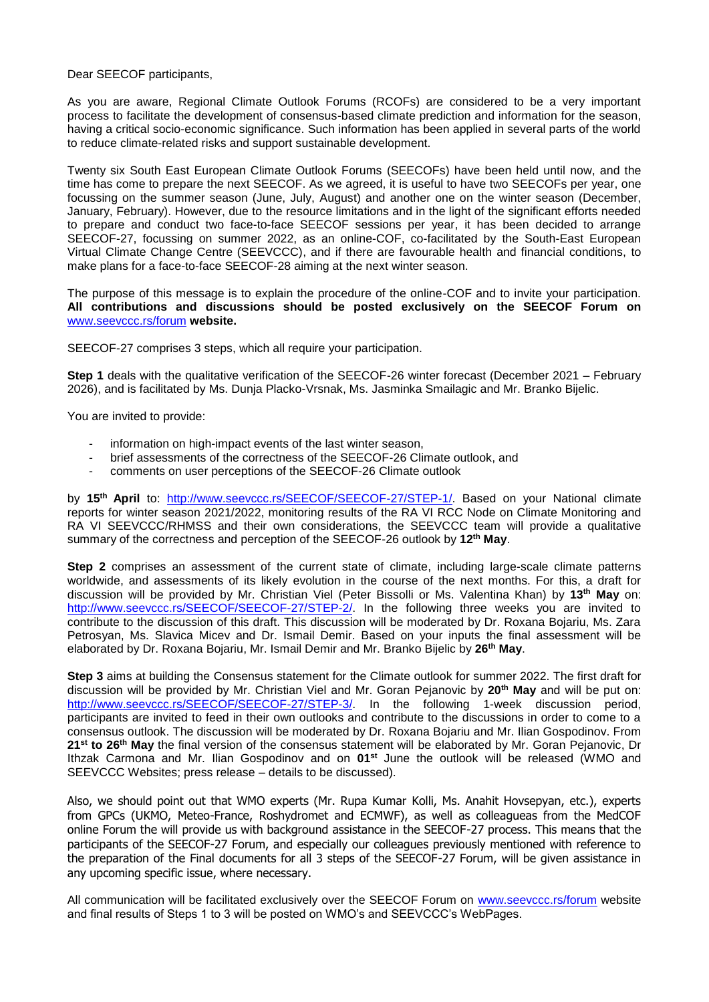Dear SEECOF participants,

As you are aware, Regional Climate Outlook Forums (RCOFs) are considered to be a very important process to facilitate the development of consensus-based climate prediction and information for the season, having a critical socio-economic significance. Such information has been applied in several parts of the world to reduce climate-related risks and support sustainable development.

Twenty six South East European Climate Outlook Forums (SEECOFs) have been held until now, and the time has come to prepare the next SEECOF. As we agreed, it is useful to have two SEECOFs per year, one focussing on the summer season (June, July, August) and another one on the winter season (December, January, February). However, due to the resource limitations and in the light of the significant efforts needed to prepare and conduct two face-to-face SEECOF sessions per year, it has been decided to arrange SEECOF-27, focussing on summer 2022, as an online-COF, co-facilitated by the South-East European Virtual Climate Change Centre (SEEVCCC), and if there are favourable health and financial conditions, to make plans for a face-to-face SEECOF-28 aiming at the next winter season.

The purpose of this message is to explain the procedure of the online-COF and to invite your participation. **All contributions and discussions should be posted exclusively on the SEECOF Forum on**  [www.seevccc.rs/forum](http://www.seevccc.rs/forum) **website.**

SEECOF-27 comprises 3 steps, which all require your participation.

**Step 1** deals with the qualitative verification of the SEECOF-26 winter forecast (December 2021 – February 2026), and is facilitated by Ms. Dunja Placko-Vrsnak, Ms. Jasminka Smailagic and Mr. Branko Bijelic.

You are invited to provide:

- information on high-impact events of the last winter season,
- brief assessments of the correctness of the SEECOF-26 Climate outlook, and
- comments on user perceptions of the SEECOF-26 Climate outlook

by 15<sup>th</sup> April to: [http://www.seevccc.rs/SEECOF/SEECOF-27/STEP-1/.](http://www.seevccc.rs/SEECOF/SEECOF-27/STEP-1/) Based on your National climate reports for winter season 2021/2022, monitoring results of the RA VI RCC Node on Climate Monitoring and RA VI SEEVCCC/RHMSS and their own considerations, the SEEVCCC team will provide a qualitative summary of the correctness and perception of the SEECOF-26 outlook by **12 th May**.

**Step 2** comprises an assessment of the current state of climate, including large-scale climate patterns worldwide, and assessments of its likely evolution in the course of the next months. For this, a draft for discussion will be provided by Mr. Christian Viel (Peter Bissolli or Ms. Valentina Khan) by **13 th May** on: [http://www.seevccc.rs/SEECOF/SEECOF-27/STEP-2/.](http://www.seevccc.rs/SEECOF/SEECOF-27/STEP-2/) In the following three weeks you are invited to contribute to the discussion of this draft. This discussion will be moderated by Dr. Roxana Bojariu, Ms. Zara Petrosyan, Ms. Slavica Micev and Dr. Ismail Demir. Based on your inputs the final assessment will be elaborated by Dr. Roxana Bojariu, Mr. Ismail Demir and Mr. Branko Bijelic by **26 th May**.

**Step 3** aims at building the Consensus statement for the Climate outlook for summer 2022. The first draft for discussion will be provided by Mr. Christian Viel and Mr. Goran Pejanovic by **20 th May** and will be put on: [http://www.seevccc.rs/SEECOF/SEECOF-27/STEP-3/.](http://www.seevccc.rs/SEECOF/SEECOF-27/STEP-3/) In the following 1-week discussion period, participants are invited to feed in their own outlooks and contribute to the discussions in order to come to a consensus outlook. The discussion will be moderated by Dr. Roxana Bojariu and Mr. Ilian Gospodinov. From 21<sup>st</sup> to 26<sup>th</sup> May the final version of the consensus statement will be elaborated by Mr. Goran Pejanovic, Dr Ithzak Carmona and Mr. Ilian Gospodinov and on 01<sup>st</sup> June the outlook will be released (WMO and SEEVCCC Websites; press release – details to be discussed).

Also, we should point out that WMO experts (Mr. Rupa Kumar Kolli, Ms. Anahit Hovsepyan, etc.), experts from GPCs (UKMO, Meteo-France, Roshydromet and ECMWF), as well as colleagueas from the MedCOF online Forum the will provide us with background assistance in the SEECOF-27 process. This means that the participants of the SEECOF-27 Forum, and especially our colleagues previously mentioned with reference to the preparation of the Final documents for all 3 steps of the SEECOF-27 Forum, will be given assistance in any upcoming specific issue, where necessary.

All communication will be facilitated exclusively over the SEECOF Forum on [www.seevccc.rs/forum](http://www.seevccc.rs/forum) website and final results of Steps 1 to 3 will be posted on WMO's and SEEVCCC's WebPages.